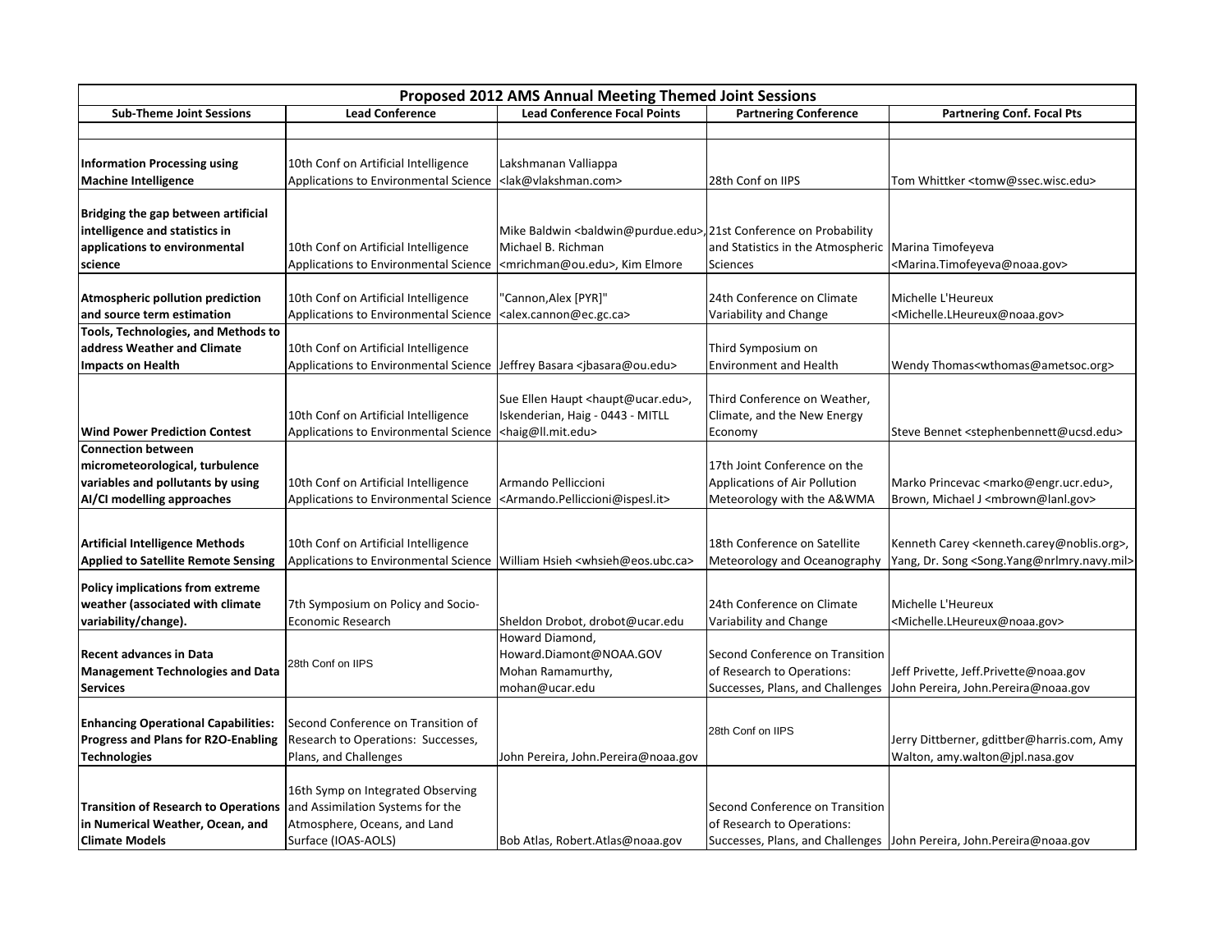| Proposed 2012 AMS Annual Meeting Themed Joint Sessions |                                       |                                                                     |                                                       |                                                                         |  |  |  |
|--------------------------------------------------------|---------------------------------------|---------------------------------------------------------------------|-------------------------------------------------------|-------------------------------------------------------------------------|--|--|--|
| <b>Sub-Theme Joint Sessions</b>                        | <b>Lead Conference</b>                | <b>Lead Conference Focal Points</b>                                 | <b>Partnering Conference</b>                          | <b>Partnering Conf. Focal Pts</b>                                       |  |  |  |
|                                                        |                                       |                                                                     |                                                       |                                                                         |  |  |  |
|                                                        |                                       |                                                                     |                                                       |                                                                         |  |  |  |
| <b>Information Processing using</b>                    | 10th Conf on Artificial Intelligence  | Lakshmanan Valliappa                                                |                                                       |                                                                         |  |  |  |
| <b>Machine Intelligence</b>                            | Applications to Environmental Science | <lak@vlakshman.com></lak@vlakshman.com>                             | 28th Conf on IIPS                                     | Tom Whittker <tomw@ssec.wisc.edu></tomw@ssec.wisc.edu>                  |  |  |  |
|                                                        |                                       |                                                                     |                                                       |                                                                         |  |  |  |
| Bridging the gap between artificial                    |                                       |                                                                     |                                                       |                                                                         |  |  |  |
| intelligence and statistics in                         |                                       | Mike Baldwin<br>baldwin@purdue.edu>, 21st Conference on Probability |                                                       |                                                                         |  |  |  |
| applications to environmental                          | 10th Conf on Artificial Intelligence  | Michael B. Richman                                                  | and Statistics in the Atmospheric   Marina Timofeyeva |                                                                         |  |  |  |
| science                                                | Applications to Environmental Science | <mrichman@ou.edu>, Kim Elmore</mrichman@ou.edu>                     | Sciences                                              | <marina.timofeyeva@noaa.gov></marina.timofeyeva@noaa.gov>               |  |  |  |
|                                                        |                                       |                                                                     |                                                       |                                                                         |  |  |  |
| Atmospheric pollution prediction                       | 10th Conf on Artificial Intelligence  | 'Cannon,Alex [PYR]"                                                 | 24th Conference on Climate                            | Michelle L'Heureux                                                      |  |  |  |
| and source term estimation                             | Applications to Environmental Science | <alex.cannon@ec.gc.ca></alex.cannon@ec.gc.ca>                       | Variability and Change                                | <michelle.lheureux@noaa.gov></michelle.lheureux@noaa.gov>               |  |  |  |
| <b>Tools, Technologies, and Methods to</b>             |                                       |                                                                     |                                                       |                                                                         |  |  |  |
| address Weather and Climate                            | 10th Conf on Artificial Intelligence  |                                                                     | Third Symposium on                                    |                                                                         |  |  |  |
| <b>Impacts on Health</b>                               | Applications to Environmental Science | Jeffrey Basara <jbasara@ou.edu></jbasara@ou.edu>                    | <b>Environment and Health</b>                         | Wendy Thomas <wthomas@ametsoc.org></wthomas@ametsoc.org>                |  |  |  |
|                                                        |                                       |                                                                     |                                                       |                                                                         |  |  |  |
|                                                        |                                       | Sue Ellen Haupt <haupt@ucar.edu>,</haupt@ucar.edu>                  | Third Conference on Weather,                          |                                                                         |  |  |  |
|                                                        | 10th Conf on Artificial Intelligence  | Iskenderian, Haig - 0443 - MITLL                                    | Climate, and the New Energy                           |                                                                         |  |  |  |
| <b>Wind Power Prediction Contest</b>                   | Applications to Environmental Science | <haig@ll.mit.edu></haig@ll.mit.edu>                                 | Economy                                               | Steve Bennet <stephenbennett@ucsd.edu></stephenbennett@ucsd.edu>        |  |  |  |
| <b>Connection between</b>                              |                                       |                                                                     |                                                       |                                                                         |  |  |  |
| micrometeorological, turbulence                        |                                       |                                                                     | 17th Joint Conference on the                          |                                                                         |  |  |  |
| variables and pollutants by using                      | 10th Conf on Artificial Intelligence  | Armando Pelliccioni                                                 | Applications of Air Pollution                         | Marko Princevac <marko@engr.ucr.edu>,</marko@engr.ucr.edu>              |  |  |  |
| AI/CI modelling approaches                             | Applications to Environmental Science | <armando.pelliccioni@ispesl.it></armando.pelliccioni@ispesl.it>     | Meteorology with the A&WMA                            | Brown, Michael J <mbrown@lanl.gov></mbrown@lanl.gov>                    |  |  |  |
|                                                        |                                       |                                                                     |                                                       |                                                                         |  |  |  |
| <b>Artificial Intelligence Methods</b>                 | 10th Conf on Artificial Intelligence  |                                                                     | 18th Conference on Satellite                          | Kenneth Carey <kenneth.carey@noblis.org>,</kenneth.carey@noblis.org>    |  |  |  |
| <b>Applied to Satellite Remote Sensing</b>             | Applications to Environmental Science | William Hsieh <whsieh@eos.ubc.ca></whsieh@eos.ubc.ca>               | Meteorology and Oceanography                          | Yang, Dr. Song <song.yang@nrlmry.navy.mil></song.yang@nrlmry.navy.mil>  |  |  |  |
|                                                        |                                       |                                                                     |                                                       |                                                                         |  |  |  |
| <b>Policy implications from extreme</b>                |                                       |                                                                     |                                                       |                                                                         |  |  |  |
| weather (associated with climate                       | 7th Symposium on Policy and Socio-    |                                                                     | 24th Conference on Climate                            | Michelle L'Heureux                                                      |  |  |  |
| variability/change).                                   | <b>Economic Research</b>              | Sheldon Drobot, drobot@ucar.edu                                     | Variability and Change                                | <michelle.lheureux@noaa.gov></michelle.lheureux@noaa.gov>               |  |  |  |
|                                                        |                                       | Howard Diamond,                                                     |                                                       |                                                                         |  |  |  |
| <b>Recent advances in Data</b>                         | 28th Conf on IIPS                     | Howard.Diamont@NOAA.GOV                                             | Second Conference on Transition                       |                                                                         |  |  |  |
| <b>Management Technologies and Data</b>                |                                       | Mohan Ramamurthy,                                                   | of Research to Operations:                            | Jeff Privette, Jeff.Privette@noaa.gov                                   |  |  |  |
| <b>Services</b>                                        |                                       | mohan@ucar.edu                                                      | Successes, Plans, and Challenges                      | John Pereira, John.Pereira@noaa.gov                                     |  |  |  |
|                                                        |                                       |                                                                     |                                                       |                                                                         |  |  |  |
| <b>Enhancing Operational Capabilities:</b>             | Second Conference on Transition of    |                                                                     | 28th Conf on IIPS                                     |                                                                         |  |  |  |
| <b>Progress and Plans for R2O-Enabling</b>             | Research to Operations: Successes,    |                                                                     |                                                       | Jerry Dittberner, gdittber@harris.com, Amy                              |  |  |  |
| Technologies                                           | Plans, and Challenges                 | John Pereira, John.Pereira@noaa.gov                                 |                                                       | Walton, amy.walton@jpl.nasa.gov                                         |  |  |  |
|                                                        |                                       |                                                                     |                                                       |                                                                         |  |  |  |
|                                                        | 16th Symp on Integrated Observing     |                                                                     |                                                       |                                                                         |  |  |  |
| <b>Transition of Research to Operations</b>            | and Assimilation Systems for the      |                                                                     | Second Conference on Transition                       |                                                                         |  |  |  |
| in Numerical Weather, Ocean, and                       | Atmosphere, Oceans, and Land          |                                                                     | of Research to Operations:                            |                                                                         |  |  |  |
| <b>Climate Models</b>                                  | Surface (IOAS-AOLS)                   | Bob Atlas, Robert.Atlas@noaa.gov                                    |                                                       | Successes, Plans, and Challenges   John Pereira, John. Pereira@noaa.gov |  |  |  |